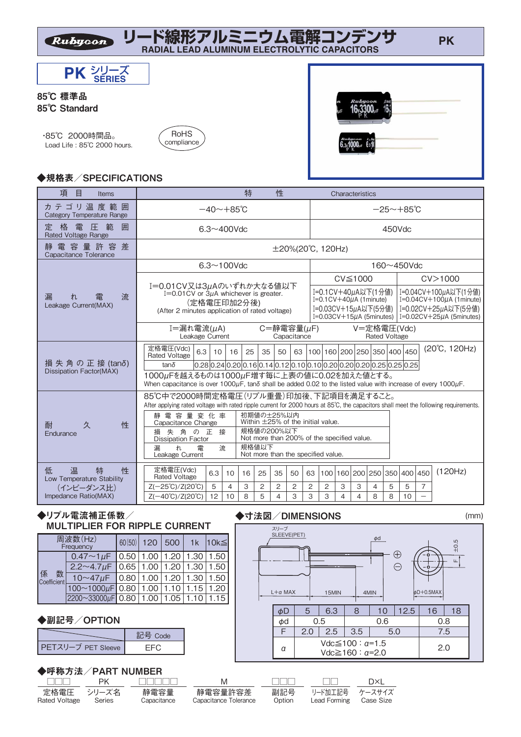



#### 85℃ 標準品 85℃ Standard

 ・85℃ 2000時間品。 Load Life : 85℃ 2000 hours.





## ◆規格表/SPECIFICATIONS

| 項<br>目<br><b>Items</b>                               |                                                                                                                                                                                | 特                                                        | 性                                                                                                                    |                |                | Characteristics                         |                                     |        |    |                |               |
|------------------------------------------------------|--------------------------------------------------------------------------------------------------------------------------------------------------------------------------------|----------------------------------------------------------|----------------------------------------------------------------------------------------------------------------------|----------------|----------------|-----------------------------------------|-------------------------------------|--------|----|----------------|---------------|
| カテゴリ温度範囲<br>Category Temperature Range               | $-40 \sim +85$ °C                                                                                                                                                              | $-25 \sim +85$ °C                                        |                                                                                                                      |                |                |                                         |                                     |        |    |                |               |
| 格<br>定<br>雷圧範<br>囲<br><b>Rated Voltage Range</b>     | $6.3 \sim 400$ Vdc                                                                                                                                                             |                                                          |                                                                                                                      |                |                |                                         |                                     | 450Vdc |    |                |               |
| 電容量許容差<br>靜<br>Capacitance Tolerance                 |                                                                                                                                                                                |                                                          | $\pm$ 20%(20°C, 120Hz)                                                                                               |                |                |                                         |                                     |        |    |                |               |
|                                                      | $6.3 \sim 100$ Vdc                                                                                                                                                             |                                                          | 160~450Vdc                                                                                                           |                |                |                                         |                                     |        |    |                |               |
|                                                      |                                                                                                                                                                                |                                                          | CV > 1000<br>CV <sub>1000</sub>                                                                                      |                |                |                                         |                                     |        |    |                |               |
| 漏<br>流<br>雷<br>れ<br>Leakage Current(MAX)             | I=0.01CV又は3μAのいずれか大なる値以下<br>I=0.01 CV or $3\mu$ A whichever is greater.<br>(定格電圧印加2分後)                                                                                         |                                                          | I=0.1 CV + 40μA以下(1分値)<br>I=0.04CV+100μA以下(1分値)<br>$I=0.1$ CV+40 $\mu$ A (1minute)<br>$I=0.04CV+100\mu A$ (1 minute) |                |                |                                         |                                     |        |    |                |               |
|                                                      | (After 2 minutes application of rated voltage)                                                                                                                                 |                                                          | I=0.02CV+25uA以下(5分値)<br>I=0.03CV+15µA以下(5分値)<br>$I=0.03CV+15\mu A$ (5minutes)<br>$I=0.02CV+25\mu A$ (5minutes)       |                |                |                                         |                                     |        |    |                |               |
|                                                      | I=漏れ電流(µA)<br>Leakage Current                                                                                                                                                  |                                                          | $C = \frac{25}{10}$ 電容量( $\mu$ F)<br>Capacitance                                                                     |                |                |                                         | V=定格電圧(Vdc)<br><b>Rated Voltage</b> |        |    |                |               |
|                                                      | 定格電圧(Vdc)<br>6.3<br>16<br>10<br><b>Rated Voltage</b>                                                                                                                           | 25<br>35                                                 | 63<br>50                                                                                                             |                |                | 100 160 200 250 350 400 450             |                                     |        |    |                | (20°C, 120Hz) |
| 損 失 角 の 正 接 (tanδ)<br><b>Dissipation Factor(MAX)</b> | $ 0.28 0.24 0.20 0.16 0.14 0.12 0.10 0.10 0.20 0.20 0.20 0.25 0.25 0.25$<br>$tan\delta$                                                                                        |                                                          |                                                                                                                      |                |                |                                         |                                     |        |    |                |               |
|                                                      | 1000µFを越えるものは1000µF増す毎に上表の値に0.02を加えた値とする。<br>When capacitance is over 1000μF, tanδ shall be added 0.02 to the listed value with increase of every 1000μF.                      |                                                          |                                                                                                                      |                |                |                                         |                                     |        |    |                |               |
|                                                      | 85℃中で2000時間定格電圧(リプル重畳)印加後、下記項目を満足すること。<br>After applying rated voltage with rated ripple current for 2000 hours at 85°C, the capacitors shall meet the following requirements. |                                                          |                                                                                                                      |                |                |                                         |                                     |        |    |                |               |
| 性<br>久<br>耐                                          | 静電容量変化率<br>Capacitance Change                                                                                                                                                  | 初期値の±25%以内<br>Within $\pm$ 25% of the initial value.     |                                                                                                                      |                |                |                                         |                                     |        |    |                |               |
| Endurance                                            | 失角の正<br>接<br>損<br><b>Dissipation Factor</b>                                                                                                                                    | 規格値の200%以下<br>Not more than 200% of the specified value. |                                                                                                                      |                |                |                                         |                                     |        |    |                |               |
|                                                      | 規格値以下<br>漏<br>流<br>ħ.<br>雷<br>Leakage Current                                                                                                                                  |                                                          | Not more than the specified value.                                                                                   |                |                |                                         |                                     |        |    |                |               |
| 低<br>温<br>特<br>性<br>Low Temperature Stability        | 定格電圧(Vdc)<br>6.3<br>10<br><b>Rated Voltage</b>                                                                                                                                 | 25<br>16                                                 | 35<br>50                                                                                                             | 63             |                | 100   160   200   250   350   400   450 |                                     |        |    |                | (120Hz)       |
| (インピーダンス比)                                           | 5<br>$\overline{4}$<br>$Z(-25^{\circ}C)/Z(20^{\circ}C)$                                                                                                                        | 3<br>2                                                   | $\overline{2}$<br>2                                                                                                  | $\overline{c}$ | $\overline{2}$ | 3<br>3                                  | $\overline{4}$                      | 5      | 5  | $\overline{7}$ |               |
| Impedance Ratio(MAX)                                 | $Z(-40^{\circ}C)/Z(20^{\circ}C)$<br>12<br>10                                                                                                                                   | 5<br>8                                                   | 3<br>4                                                                                                               | 3              | 3              | 4<br>4                                  | 8                                   | 8      | 10 |                |               |

## ◆リプル電流補正係数/ MULTIPLIER FOR RIPPLE CURRENT

|                       | 周波数(Hz)<br>Frequency                                    | 60(50) | 120 500 | 1k | $10k \leq$ |
|-----------------------|---------------------------------------------------------|--------|---------|----|------------|
| 係<br>数<br>Coefficient | $0.47 \sim 1 \mu$ F   0.50   1.00   1.20   1.30   1.50  |        |         |    |            |
|                       | $2.2 \sim 4.7 \mu$ F   0.65   1.00   1.20   1.30   1.50 |        |         |    |            |
|                       | $10~47~\mu$ F   0.80   1.00   1.20   1.30   1.50        |        |         |    |            |
|                       | $100~1000~\mu$ F 0.80 1.00 1.10 1.15 1.20               |        |         |    |            |
|                       | 2200~33000µF 0.80 1.00 1.05 1.10 1.15                   |        |         |    |            |

#### ◆副記号/OPTION

|                    | 記号 Code |
|--------------------|---------|
| PETスリーブ PET Sleeve |         |

#### ◆呼称方法/PART NUMBER

|               | PK.    |             | M                     | $\parallel$ $\parallel$ $\parallel$ | a min          | DXI       |  |
|---------------|--------|-------------|-----------------------|-------------------------------------|----------------|-----------|--|
| 定格雷圧 シリーズ名    |        | 静雷容量        | 静雷容量許容差               | 副記号                                 | リード加工記号 ケースサイズ |           |  |
| Rated Voltage | Series | Canacitance | Capacitance Tolerance | Option                              | Lead Forming   | Case Size |  |

α



Vdc≦100 : α=1.5  $Vdc ≥ 160 : α=2.0$ 

2.0